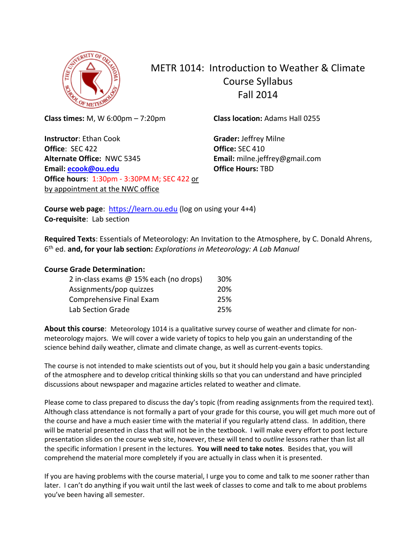

# METR 1014: Introduction to Weather & Climate Course Syllabus Fall 2014

**Class times:** M, W 6:00pm – 7:20pm

**Instructor**: Ethan Cook **Office**: SEC 422 **Alternate Office:** NWC 5345 **Email: [ecook@ou.edu](mailto:ecook@ou.edu) Office hours**: 1:30pm - 3:30PM M; SEC 422 or by appointment at the NWC office

**Class location:** Adams Hall 0255

**Grader:** Jeffrey Milne **Office:** SEC 410 **Email:** milne.jeffrey@gmail.com **Office Hours:** TBD

**Course web page:** [https://learn.ou.edu](https://learn.ou.edu/) (log on using your 4+4) **Co-requisite**: Lab section

**Required Texts**: Essentials of Meteorology: An Invitation to the Atmosphere, by C. Donald Ahrens, 6 th ed. **and, for your lab section:** *Explorations in Meteorology: A Lab Manual*

## **Course Grade Determination:**

| 2 in-class exams @ 15% each (no drops) | 30% |
|----------------------------------------|-----|
| Assignments/pop quizzes                | 20% |
| Comprehensive Final Exam               | 25% |
| <b>Lab Section Grade</b>               | 25% |

**About this course**: Meteorology 1014 is a qualitative survey course of weather and climate for nonmeteorology majors. We will cover a wide variety of topics to help you gain an understanding of the science behind daily weather, climate and climate change, as well as current-events topics.

The course is not intended to make scientists out of you, but it should help you gain a basic understanding of the atmosphere and to develop critical thinking skills so that you can understand and have principled discussions about newspaper and magazine articles related to weather and climate.

Please come to class prepared to discuss the day's topic (from reading assignments from the required text). Although class attendance is not formally a part of your grade for this course, you will get much more out of the course and have a much easier time with the material if you regularly attend class. In addition, there will be material presented in class that will not be in the textbook. I will make every effort to post lecture presentation slides on the course web site, however, these will tend to *outline* lessons rather than list all the specific information I present in the lectures. **You will need to take notes**. Besides that, you will comprehend the material more completely if you are actually in class when it is presented.

If you are having problems with the course material, I urge you to come and talk to me sooner rather than later. I can't do anything if you wait until the last week of classes to come and talk to me about problems you've been having all semester.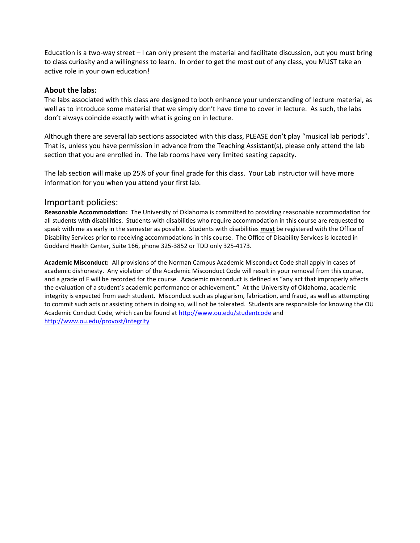Education is a two-way street – I can only present the material and facilitate discussion, but you must bring to class curiosity and a willingness to learn. In order to get the most out of any class, you MUST take an active role in your own education!

#### **About the labs:**

The labs associated with this class are designed to both enhance your understanding of lecture material, as well as to introduce some material that we simply don't have time to cover in lecture. As such, the labs don't always coincide exactly with what is going on in lecture.

Although there are several lab sections associated with this class, PLEASE don't play "musical lab periods". That is, unless you have permission in advance from the Teaching Assistant(s), please only attend the lab section that you are enrolled in. The lab rooms have very limited seating capacity.

The lab section will make up 25% of your final grade for this class. Your Lab instructor will have more information for you when you attend your first lab.

## Important policies:

**Reasonable Accommodation:** The University of Oklahoma is committed to providing reasonable accommodation for all students with disabilities. Students with disabilities who require accommodation in this course are requested to speak with me as early in the semester as possible. Students with disabilities **must** be registered with the Office of Disability Services prior to receiving accommodations in this course. The Office of Disability Services is located in Goddard Health Center, Suite 166, phone 325-3852 or TDD only 325-4173.

**Academic Misconduct:** All provisions of the Norman Campus Academic Misconduct Code shall apply in cases of academic dishonesty. Any violation of the Academic Misconduct Code will result in your removal from this course, and a grade of F will be recorded for the course. Academic misconduct is defined as "any act that improperly affects the evaluation of a student's academic performance or achievement." At the University of Oklahoma, academic integrity is expected from each student. Misconduct such as plagiarism, fabrication, and fraud, as well as attempting to commit such acts or assisting others in doing so, will not be tolerated. Students are responsible for knowing the OU Academic Conduct Code, which can be found a[t http://www.ou.edu/studentcode](http://www.ou.edu/studentcode) and <http://www.ou.edu/provost/integrity>